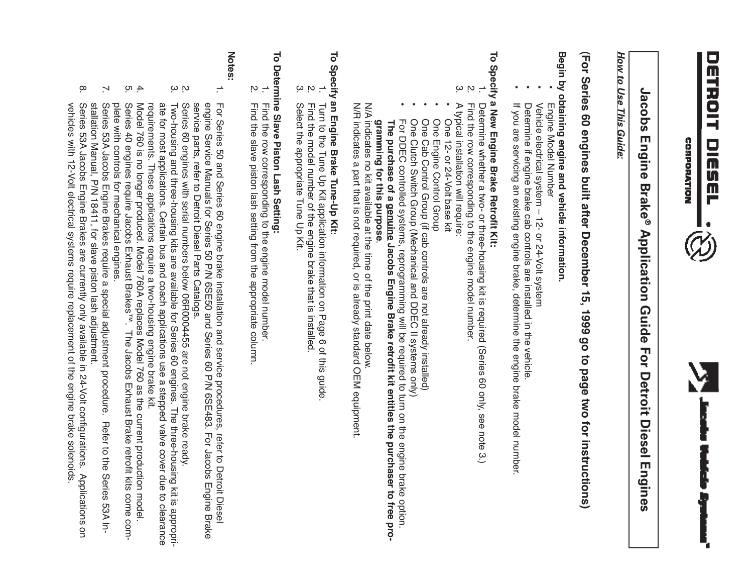



# Jacobs Engine Brake® **Jacobs Engine Brake ® Application Guide For Detroit Diesel Engines Application Guide For Detroit Diesel Engines**

### How to Use This Guide: *How to Use This Guide:*

# (For Series 60 engines built after December 15, 1999 go to page two for instructions) **(For Series 60 engines built after December 15, 1999 go to page two for instructions)**

# Begin by obtaining engine and vehicle information **Begin by obtaining engine and vehicle information.**

- Engine Model Number Engine Model Number
- Vehicle electrical system - 12- or 24-Volt system Vehicle electrical system – 12- or 24-Volt system
- Determine if engine brake cab controls are installed in the vehicle Determine if engine brake cab controls are installed in the vehicle.
- If you are servicing an existing engine brake, determine the engine brake model number. If you are servicing an existing engine brake, determine the engine brake model number.

# To Specify a New Engine Brake Retrofit Kit: **To Specify a New Engine Brake Retrofit Kit:**

- $\overrightarrow{.}$ Determine whether a two- or three-housing kit is required (Series 60 only, see note 3.)<br>Find the row corresponding to the engine model number. Determine whether a two- or three-housing kit is required (Series 60 only, see note 3.)
- ب م Find the row corresponding to the engine model number.
- A doloral installation will require: A typical installation will require:
- One 12- or 24-Volt base kit One 12- or 24-Volt base kit
- One Engine Control Group One Engine Control Group
- One Cab Control Group (if cab controls are not already installed) One Cab Control Group (if cab controls are not already installed)
- One Clutch Switch Group (Mechanical and DDEC II systems only) One Clutch Switch Group (Mechanical and DDEC II systems only)
- **The purchase of a**  For DDEC controlled systems, reprogramming will be required to turn on the engine brake option. **genuine Jacobs Engine Brake retrofit kit entitles the purchaser to free programming for this purpose**gramming for this purpose.

N/A indicates no kit available at the time of the print date below.

N/A indicates no kit available at the time of the print date below.<br>N/R indicates a part that is not required, or is already standard OEM equipment N/R indicates a part that is not required, or is already standard OEM equipment.

# To Specify an Engine Brake Tune-Up Kit: **To Specify an Engine Brake Tune-Up Kit:**

- ... Turn to the Tune Up Kit application information on Page 6 of this guide Turn to the Tune Up Kit application information on Page 6 of this guide.
- Find the model number of the engine brake that is installed Find the model number of the engine brake that is installed.
- ب م Select the appropriate Tune Up Kit. Select the appropriate Tune Up Kit.

## $\overline{\circ}$ **To Determine Slave Piston Lash Setting:** Determine Slave Piston Lash Setting:

- ... Find the row corresponding to the engine model number. Find the row corresponding to the engine model number.
- 2. Find the slave piston lash setting from the appropriate column Find the slave piston lash setting from the appropriate column.

### **Notes:**

- $\overline{.}$ engine Service Manuals for Series 50 P/N 6SE50 and Series 60 P/N 6SE483. For Jacobs Engine Brake service parts, refer to Detroit Diesel Parts Cataloges For Series 50 and Series 60 engine brake installation and service procedures, refer to Detroit Diese service parts, refer to Detroit Diesel Parts Catalogs. engine Service Manuals for Series 50 P/N 6SE50 and Series 60 P/N 6SE483. For Jacobs Engine Brake For Series 50 and Series 60 engine brake installation and service procedures, refer to Detroit Diesel
- ب م Series 60 engines with serial numbers below 06R0004455 are not engine brake ready. Series 60 engines with serial numbers below 06R0004455 are not engine brake ready.
- ate for most applications. Certain bus and coach applications use a stepped valve cover due to clearance Two-housing and three-housing kits are available for Series 60 engines. The three-housing kit is appropriate for most applications. Certain bus and coach applications use a stepped valve cover due to clearance<br>requirements. These applications require a two-housing engine brake kit. Two-housing and three-housing kits are available for Series 60 engines. The three-housing kit is appropri-
- 4. 5. plete with controls for mechanical engines Series requirements. These applications require a two-housing engine brake kit.<br>Model 760 is no longer produced. Model 760A replaces Model 760 as the current production model plete with controls for mechanical engines. Model 760 is no longer produced. Model 760A replaces Model 760 as the current production model. 40 engines require Jacobs Exhaust Brakes™. The Jacobs Exhaust Brake retrofit  $\frac{\Sigma}{67}$ come com-
- $\overline{\phantom{0}}$ Series 53A Jacobs Engine Brakes require a special adjustment procedure. Refer to the Series 53A Installation Manual, P/N 18411, for slave piston lash adjustment. Series 53A Jacobs Engine Brakes require a special adjustment procedure. Refer to the Series 53A In-
- $\infty$ vehicles with 12-Volt electrical systems require replacement of the engine brake solenoids vehicles with 12-Volt electrical systems require replacement of the engine brake solenoids. Series 53A Jacobs Engine Brakes م<br>ه currently only available in 24-Volt configurations. Applications on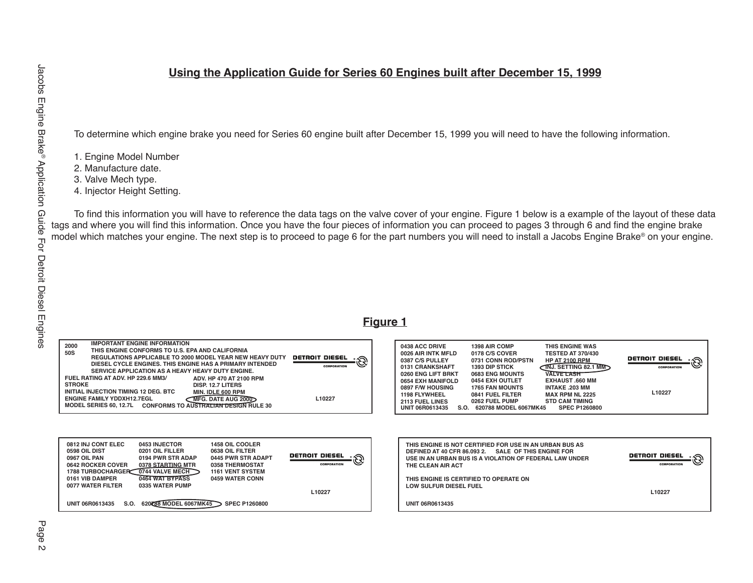#### **Using the Application Guide for Series 60 Engines built after December 15, 1999**

To determine which engine brake you need for Series 60 engine built after December 15, 1999 you will need to have the following information.

1. Engine Model Number

2. Manufacture date.

- 3. Valve Mech type.
- 4. Injector Height Setting.

To find this information you will have to reference the data tags on the valve cover of your engine. Figure 1 below is a example of the layout of these data tags and where you will find this information. Once you have the four pieces of information you can proceed to pages 3 through 6 and find the engine brake model which matches your engine. The next step is to proceed to page 6 for the part numbers you will need to install a Jacobs Engine Brake® on your engine.

#### **Figure 1**

| <b>IMPORTANT ENGINE INFORMATION</b><br>2000<br>THIS ENGINE CONFORMS TO U.S. EPA AND CALIFORNIA<br>50S<br><b>REGULATIONS APPLICABLE TO 2000 MODEL YEAR NEW HEAVY DUTY</b><br><b>DETROIT DIESEL</b><br>رج∷_<br>DIESEL CYCLE ENGINES. THIS ENGINE HAS A PRIMARY INTENDED<br>SERVICE APPLICATION AS A HEAVY HEAVY DUTY ENGINE.<br>FUEL RATING AT ADV. HP 229.6 MM3/<br>ADV. HP 470 AT 2100 RPM<br><b>STROKE</b><br>DISP. 12.7 LITERS<br>INITIAL INJECTION TIMING 12 DEG. BTC<br>MIN. IDLE 600 RPM<br><b>ENGINE FAMILY YDDXH12.7EGL</b><br>L10227<br><b>MFG. DATE AUG 2000</b><br>MODEL SERIES 60, 12.7L CONFORMS TO AUSTRALIAN DESIGN RULE 30 | 0438 ACC DRIVE<br>1398 AIR COMP<br>THIS ENGINE WAS<br>0178 C/S COVER<br><b>TESTED AT 370/430</b><br>0026 AIR INTK MFLD<br>DETROIT DIESEL . A<br>0731 CONN ROD/PSTN<br><b>HP AT 2100 RPM</b><br>0387 C/S PULLEY<br>$\sqrt{N}$ J. SETTING 82.1 MM<br><b>1393 DIP STICK</b><br>0131 CRANKSHAFT<br>CORPORATION<br><b>VALVE LASH</b><br>0260 ENG LIFT BRKT<br>0683 ENG MOUNTS<br>0654 EXH MANIFOLD<br>0454 EXH OUTLET<br><b>EXHAUST .660 MM</b><br>0897 F/W HOUSING<br><b>1765 FAN MOUNTS</b><br><b>INTAKE .203 MM</b><br>L10227<br>0841 FUEL FILTER<br><b>MAX RPM NL 2225</b><br>1198 FLYWHEEL<br>0262 FUEL PUMP<br><b>STD CAM TIMING</b><br>2113 FUEL LINES<br>S.O. 620788 MODEL 6067MK45<br><b>SPEC P1260800</b><br><b>UNIT 06R0613435</b> |  |
|-------------------------------------------------------------------------------------------------------------------------------------------------------------------------------------------------------------------------------------------------------------------------------------------------------------------------------------------------------------------------------------------------------------------------------------------------------------------------------------------------------------------------------------------------------------------------------------------------------------------------------------------|------------------------------------------------------------------------------------------------------------------------------------------------------------------------------------------------------------------------------------------------------------------------------------------------------------------------------------------------------------------------------------------------------------------------------------------------------------------------------------------------------------------------------------------------------------------------------------------------------------------------------------------------------------------------------------------------------------------------------------------|--|
| 0812 INJ CONT ELEC<br>0453 INJECTOR<br>1458 OIL COOLER<br>0598 OIL DIST<br>0201 OIL FILLER<br>0638 OIL FILTER<br><b>DETROIT DIESEL</b><br>0967 OIL PAN<br>0194 PWR STR ADAP<br>0445 PWR STR ADAPT<br>0378 STARTING MTR<br>CORPORATION<br>0642 ROCKER COVER<br>0358 THERMOSTAT<br>0744 VALVE MECH<br><b>1788 TURBOCHARGER</b><br><b>1161 VENT SYSTEM</b><br>0464 WAT BYPASS<br>0161 VIB DAMPER<br>0459 WATER CONN                                                                                                                                                                                                                          | THIS ENGINE IS NOT CERTIFIED FOR USE IN AN URBAN BUS AS<br><b>DEFINED AT 40 CFR 86.093 2.</b><br><b>SALE OF THIS ENGINE FOR</b><br><b>DETROIT DIESEL</b><br>USE IN AN URBAN BUS IS A VIOLATION OF FEDERAL LAW UNDER<br><b>CORPORATION</b><br>THE CLEAN AIR ACT                                                                                                                                                                                                                                                                                                                                                                                                                                                                           |  |
| 0077 WATER FILTER<br>0335 WATER PUMP<br>L10227<br>S.O. 620788 MODEL 6067MK45<br><b>SPEC P1260800</b><br><b>UNIT 06R0613435</b>                                                                                                                                                                                                                                                                                                                                                                                                                                                                                                            | THIS ENGINE IS CERTIFIED TO OPERATE ON<br>LOW SULFUR DIESEL FUEL<br>L10227<br><b>UNIT 06R0613435</b>                                                                                                                                                                                                                                                                                                                                                                                                                                                                                                                                                                                                                                     |  |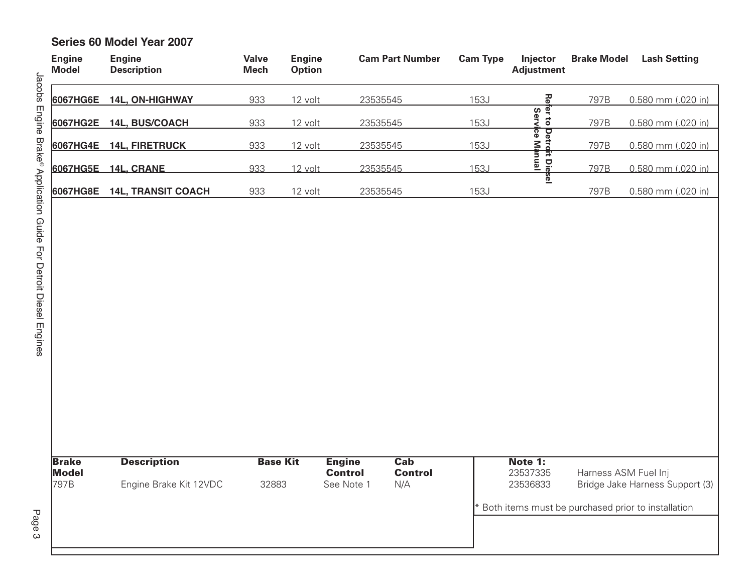#### **Series 60 Model Year 2007**

| <b>Engine</b><br><b>Model</b> | <b>Engine</b><br><b>Description</b>          | <b>Valve</b><br><b>Mech</b> | <b>Engine</b><br><b>Option</b> |                                               | <b>Cam Part Number</b>                             | <b>Cam Type</b> | Injector<br><b>Adjustment</b>           | <b>Brake Model</b>   | <b>Lash Setting</b>                                                                   |
|-------------------------------|----------------------------------------------|-----------------------------|--------------------------------|-----------------------------------------------|----------------------------------------------------|-----------------|-----------------------------------------|----------------------|---------------------------------------------------------------------------------------|
| 6067HG6E                      | 14L, ON-HIGHWAY                              | 933                         | 12 volt                        |                                               | 23535545                                           | <b>153J</b>     | 중                                       | 797B                 | 0.580 mm (.020 in)                                                                    |
| 6067HG2E                      | 14L, BUS/COACH                               | 933                         | 12 volt                        |                                               | 23535545                                           | <b>153J</b>     | fer to Detrdit Diesel<br>Service Manual | 797B                 | 0.580 mm (.020 in)                                                                    |
|                               | 6067HG4E 14L, FIRETRUCK                      | 933                         | 12 volt                        |                                               | 23535545                                           | 153J            |                                         | 797B                 | 0.580 mm (.020 in)                                                                    |
|                               | 6067HG5E 14L, CRANE                          | 933                         | 12 volt                        |                                               | 23535545                                           | 153J            |                                         | 797B                 | 0.580 mm (.020 in)                                                                    |
| 6067HG8E                      | <b>14L, TRANSIT COACH</b>                    | 933                         | 12 volt                        |                                               | 23535545                                           | <b>153J</b>     |                                         | 797B                 | 0.580 mm (.020 in)                                                                    |
| <b>Brake</b><br>Model<br>797B | <b>Description</b><br>Engine Brake Kit 12VDC | <b>Base Kit</b><br>32883    |                                | <b>Engine</b><br><b>Control</b><br>See Note 1 | $\overline{\mathbf{Cab}}$<br><b>Control</b><br>N/A |                 | Note 1:<br>23537335<br>23536833         | Harness ASM Fuel Inj | Bridge Jake Harness Support (3)<br>Both items must be purchased prior to installation |
|                               |                                              |                             |                                |                                               |                                                    |                 |                                         |                      |                                                                                       |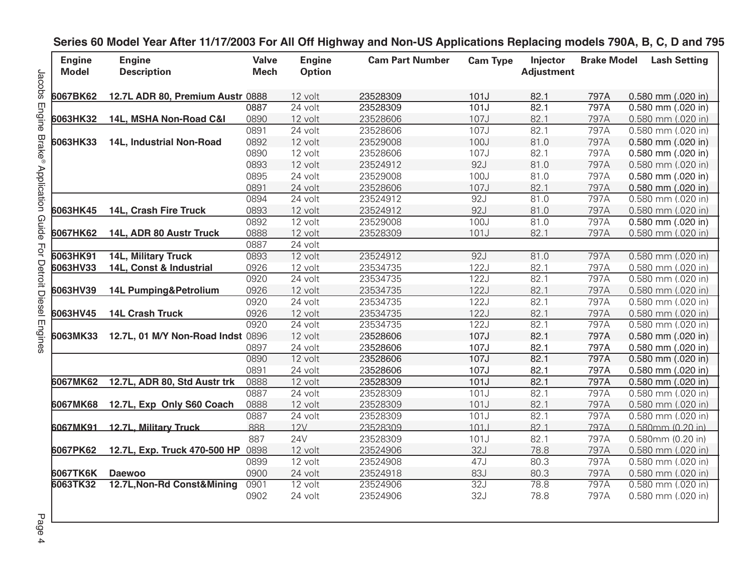| <b>Engine</b><br><b>Model</b> | <b>Engine</b><br><b>Description</b> | <b>Valve</b><br><b>Mech</b> | <b>Engine</b><br><b>Option</b> | <b>Cam Part Number</b> | <b>Cam Type</b> | Injector<br><b>Adjustment</b> | <b>Brake Model</b> | <b>Lash Setting</b>    |
|-------------------------------|-------------------------------------|-----------------------------|--------------------------------|------------------------|-----------------|-------------------------------|--------------------|------------------------|
| 6067BK62                      | 12.7L ADR 80, Premium Austr 0888    |                             | 12 volt                        | 23528309               | 101J            | 82.1                          | 797A               | 0.580 mm (.020 in)     |
|                               |                                     | 0887                        | 24 volt                        | 23528309               | 101J            | 82.1                          | 797A               | 0.580 mm (.020 in)     |
| 6063HK32                      | 14L, MSHA Non-Road C&I              | 0890                        | 12 volt                        | 23528606               | 107J            | 82.1                          | 797A               | 0.580 mm (.020 in)     |
|                               |                                     | 0891                        | 24 volt                        | 23528606               | 107J            | 82.1                          | 797A               | 0.580 mm (.020 in)     |
| 6063HK33                      | 14L, Industrial Non-Road            | 0892                        | 12 volt                        | 23529008               | 100J            | 81.0                          | 797A               | 0.580 mm (.020 in)     |
|                               |                                     | 0890                        | 12 volt                        | 23528606               | 107J            | 82.1                          | 797A               | 0.580 mm (.020 in)     |
|                               |                                     | 0893                        | 12 volt                        | 23524912               | 92J             | 81.0                          | 797A               | 0.580 mm (.020 in)     |
|                               |                                     | 0895                        | 24 volt                        | 23529008               | 100J            | 81.0                          | 797A               | 0.580 mm (.020 in)     |
|                               |                                     | 0891                        | 24 volt                        | 23528606               | 107J            | 82.1                          | 797A               | 0.580 mm (.020 in)     |
|                               |                                     | 0894                        | 24 volt                        | 23524912               | 92J             | 81.0                          | 797A               | 0.580 mm (.020 in)     |
| 6063HK45                      | 14L, Crash Fire Truck               | 0893                        | 12 volt                        | 23524912               | 92J             | 81.0                          | 797A               | 0.580 mm (.020 in)     |
|                               |                                     | 0892                        | 12 volt                        | 23529008               | 100J            | 81.0                          | 797A               | 0.580 mm (.020 in)     |
| 6067HK62                      | 14L, ADR 80 Austr Truck             | 0888                        | 12 volt                        | 23528309               | 101J            | 82.1                          | 797A               | 0.580 mm (.020 in)     |
|                               |                                     | 0887                        | 24 volt                        |                        |                 |                               |                    |                        |
| 6063HK91                      | <b>14L, Military Truck</b>          | 0893                        | 12 volt                        | 23524912               | 92J             | 81.0                          | 797A               | $0.580$ mm $(.020$ in) |
| 6063HV33                      | 14L, Const & Industrial             | 0926                        | 12 volt                        | 23534735               | 122J            | 82.1                          | 797A               | 0.580 mm (.020 in)     |
|                               |                                     | 0920                        | 24 volt                        | 23534735               | 122J            | 82.1                          | 797A               | 0.580 mm (.020 in)     |
| 6063HV39                      | 14L Pumping&Petrolium               | 0926                        | 12 volt                        | 23534735               | 122J            | 82.1                          | 797A               | 0.580 mm (.020 in)     |
|                               |                                     | 0920                        | 24 volt                        | 23534735               | 122J            | 82.1                          | 797A               | 0.580 mm (.020 in)     |
| 6063HV45                      | <b>14L Crash Truck</b>              | 0926                        | 12 volt                        | 23534735               | 122J            | 82.1                          | 797A               | 0.580 mm (.020 in)     |
|                               |                                     | 0920                        | 24 volt                        | 23534735               | 122J            | 82.1                          | 797A               | 0.580 mm (.020 in)     |
| 6063MK33                      | 12.7L, 01 M/Y Non-Road Indst 0896   |                             | 12 volt                        | 23528606               | 107J            | 82.1                          | 797A               | 0.580 mm (.020 in)     |
|                               |                                     | 0897                        | 24 volt                        | 23528606               | 107J            | 82.1                          | 797A               | 0.580 mm (.020 in)     |
|                               |                                     | 0890                        | 12 volt                        | 23528606               | 107J            | 82.1                          | 797A               | 0.580 mm (.020 in)     |
|                               |                                     | 0891                        | 24 volt                        | 23528606               | 107J            | 82.1                          | 797A               | 0.580 mm (.020 in)     |
| 6067MK62                      | 12.7L, ADR 80, Std Austr trk        | 0888                        | 12 volt                        | 23528309               | 101J            | 82.1                          | 797A               | 0.580 mm (.020 in)     |
|                               |                                     | 0887                        | 24 volt                        | 23528309               | 101J            | 82.1                          | 797A               | 0.580 mm (.020 in)     |
| 6067MK68                      | 12.7L, Exp Only S60 Coach           | 0888                        | 12 volt                        | 23528309               | 101J            | 82.1                          | 797A               | 0.580 mm (.020 in)     |
|                               |                                     | 0887                        | 24 volt                        | 23528309               | 101J            | 82.1                          | 797A               | 0.580 mm (.020 in)     |
| 6067MK91                      | 12.7L, Military Truck               | 888                         | 12V                            | 23528309               | 101J            | 82.1                          | 797A               | 0.580mm (0.20 in)      |
|                               |                                     | 887                         | <b>24V</b>                     | 23528309               | 101J            | 82.1                          | 797A               | 0.580mm (0.20 in)      |
| 6067PK62                      | 12.7L, Exp. Truck 470-500 HP 0898   |                             | 12 volt                        | 23524906               | 32J             | 78.8                          | 797A               | 0.580 mm (.020 in)     |
|                               |                                     | 0899                        | 12 volt                        | 23524908               | 47J             | 80.3                          | 797A               | 0.580 mm (.020 in)     |
| 6067TK6K                      | <b>Daewoo</b>                       | 0900                        | 24 volt                        | 23524918               | 83J             | 80.3                          | 797A               | 0.580 mm (.020 in)     |
| 6063TK32                      | 12.7L, Non-Rd Const&Mining          | 0901                        | 12 volt                        | 23524906               | 32J             | 78.8                          | 797A               | 0.580 mm (.020 in)     |
|                               |                                     | 0902                        | 24 volt                        | 23524906               | 32J             | 78.8                          | 797A               | 0.580 mm (.020 in)     |
|                               |                                     |                             |                                |                        |                 |                               |                    |                        |

**Series 60 Model Year After 11/17/2003 For All Off Highway and Non-US Applications Replacing models 790A, B, C, D and 795**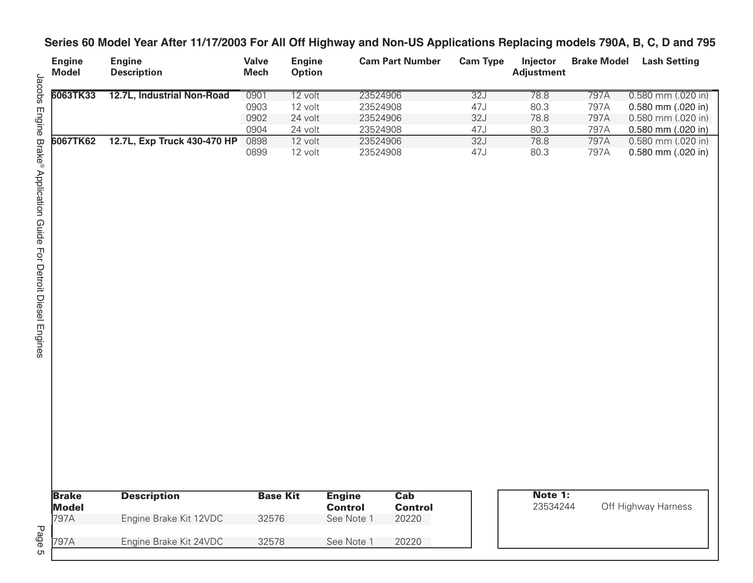#### **Series 60 Model Year After 11/17/2003 For All Off Highway and Non-US Applications Replacing models 790A, B, C, D and 795**

| <b>Engine</b><br><b>Model</b> | <b>Engine</b><br><b>Description</b> | <b>Valve</b><br>Mech | <b>Engine</b><br><b>Option</b> | <b>Cam Part Number</b> | <b>Cam Type</b> | <b>Injector</b><br><b>Adjustment</b> | <b>Brake Model</b> | <b>Lash Setting</b>    |
|-------------------------------|-------------------------------------|----------------------|--------------------------------|------------------------|-----------------|--------------------------------------|--------------------|------------------------|
| 6063TK33                      | 12.7L, Industrial Non-Road          | 0901                 | 12 volt                        | 23524906               | 32J             | 78.8                                 | 797A               | $0.580$ mm $(.020$ in) |
|                               |                                     | 0903                 | 12 volt                        | 23524908               | 47J             | 80.3                                 | 797A               | 0.580 mm (.020 in)     |
|                               |                                     | 0902                 | 24 volt                        | 23524906               | 32J             | 78.8                                 | 797A               | 0.580 mm (.020 in)     |
|                               |                                     | 0904                 | 24 volt                        | 23524908               | 47J             | 80.3                                 | 797A               | $0.580$ mm $(.020$ in) |
| 6067TK62                      | 12.7L, Exp Truck 430-470 HP         | 0898                 | 12 volt                        | 23524906               | 32J             | 78.8                                 | 797A               | 0.580 mm (.020 in)     |
|                               |                                     | 0899                 | 12 volt                        | 23524908               | 47J             | 80.3                                 | 797A               | $0.580$ mm $(.020$ in) |

| <b>Brake</b> | <b>Description</b>     | <b>Base Kit</b> | <b>Engine</b>  | Cab            |
|--------------|------------------------|-----------------|----------------|----------------|
| Model        |                        |                 | <b>Control</b> | <b>Control</b> |
| 797A         | Engine Brake Kit 12VDC | 32576           | See Note 1     | 20220          |
| 797A         | Engine Brake Kit 24VDC | 32578           | See Note 1     | 20220          |

**Note 1:**<br>23534244

Off Highway Harness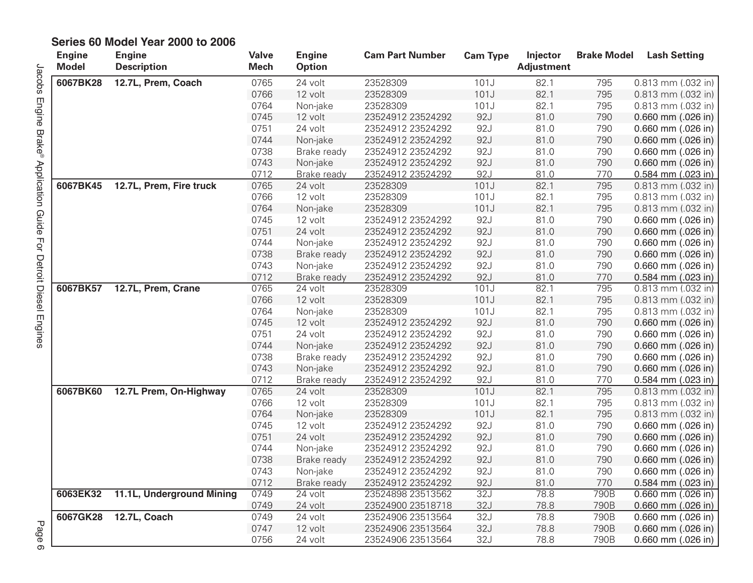| <b>Engine</b><br><b>Model</b> | <b>Engine</b><br><b>Description</b> | <b>Valve</b><br><b>Mech</b> | <b>Engine</b><br><b>Option</b> | <b>Cam Part Number</b> | <b>Cam Type</b> | Injector<br><b>Adjustment</b> | <b>Brake Model</b> | <b>Lash Setting</b>    |
|-------------------------------|-------------------------------------|-----------------------------|--------------------------------|------------------------|-----------------|-------------------------------|--------------------|------------------------|
| 6067BK28                      | 12.7L, Prem, Coach                  | 0765                        | 24 volt                        | 23528309               | 101J            | 82.1                          | 795                | 0.813 mm (.032 in)     |
|                               |                                     | 0766                        | 12 volt                        | 23528309               | 101J            | 82.1                          | 795                | 0.813 mm (.032 in)     |
|                               |                                     | 0764                        | Non-jake                       | 23528309               | 101J            | 82.1                          | 795                | 0.813 mm (.032 in)     |
|                               |                                     | 0745                        | 12 volt                        | 23524912 23524292      | 92J             | 81.0                          | 790                | 0.660 mm (.026 in)     |
|                               |                                     | 0751                        | 24 volt                        | 23524912 23524292      | 92J             | 81.0                          | 790                | 0.660 mm (.026 in)     |
|                               |                                     | 0744                        | Non-jake                       | 23524912 23524292      | 92J             | 81.0                          | 790                | $0.660$ mm $(.026$ in) |
|                               |                                     | 0738                        | Brake ready                    | 23524912 23524292      | 92J             | 81.0                          | 790                | 0.660 mm (.026 in)     |
|                               |                                     | 0743                        | Non-jake                       | 23524912 23524292      | 92J             | 81.0                          | 790                | 0.660 mm (.026 in)     |
|                               |                                     | 0712                        | Brake ready                    | 23524912 23524292      | 92J             | 81.0                          | 770                | 0.584 mm (.023 in)     |
| 6067BK45                      | 12.7L, Prem, Fire truck             | 0765                        | 24 volt                        | 23528309               | 101J            | 82.1                          | 795                | 0.813 mm (.032 in)     |
|                               |                                     | 0766                        | 12 volt                        | 23528309               | 101J            | 82.1                          | 795                | 0.813 mm (.032 in)     |
|                               |                                     | 0764                        | Non-jake                       | 23528309               | 101J            | 82.1                          | 795                | 0.813 mm (.032 in)     |
|                               |                                     | 0745                        | 12 volt                        | 23524912 23524292      | 92J             | 81.0                          | 790                | $0.660$ mm $(.026$ in) |
|                               |                                     | 0751                        | 24 volt                        | 23524912 23524292      | 92J             | 81.0                          | 790                | 0.660 mm (.026 in)     |
|                               |                                     | 0744                        | Non-jake                       | 23524912 23524292      | 92J             | 81.0                          | 790                | 0.660 mm (.026 in)     |
|                               |                                     | 0738                        | Brake ready                    | 23524912 23524292      | 92J             | 81.0                          | 790                | 0.660 mm (.026 in)     |
|                               |                                     | 0743                        | Non-jake                       | 23524912 23524292      | 92J             | 81.0                          | 790                | 0.660 mm (.026 in)     |
|                               |                                     | 0712                        | Brake ready                    | 23524912 23524292      | 92J             | 81.0                          | 770                | $0.584$ mm $(.023$ in) |
| 6067BK57                      | 12.7L, Prem, Crane                  | 0765                        | 24 volt                        | 23528309               | 101J            | 82.1                          | 795                | $0.813$ mm $(.032$ in) |
|                               |                                     | 0766                        | 12 volt                        | 23528309               | 101J            | 82.1                          | 795                | 0.813 mm (.032 in)     |
|                               |                                     | 0764                        | Non-jake                       | 23528309               | 101J            | 82.1                          | 795                | 0.813 mm (.032 in)     |
|                               |                                     | 0745                        | 12 volt                        | 23524912 23524292      | 92J             | 81.0                          | 790                | 0.660 mm (.026 in)     |
|                               |                                     | 0751                        | 24 volt                        | 23524912 23524292      | 92J             | 81.0                          | 790                | 0.660 mm (.026 in)     |
|                               |                                     | 0744                        | Non-jake                       | 23524912 23524292      | 92J             | 81.0                          | 790                | 0.660 mm (.026 in)     |
|                               |                                     | 0738                        | Brake ready                    | 23524912 23524292      | 92J             | 81.0                          | 790                | $0.660$ mm $(.026$ in) |
|                               |                                     | 0743                        | Non-jake                       | 23524912 23524292      | 92J             | 81.0                          | 790                | 0.660 mm (.026 in)     |
|                               |                                     | 0712                        | Brake ready                    | 23524912 23524292      | 92J             | 81.0                          | 770                | $0.584$ mm $(.023$ in) |
| 6067BK60                      | 12.7L Prem, On-Highway              | 0765                        | 24 volt                        | 23528309               | 101J            | 82.1                          | 795                | 0.813 mm (.032 in)     |
|                               |                                     | 0766                        | 12 volt                        | 23528309               | 101J            | 82.1                          | 795                | 0.813 mm (.032 in)     |
|                               |                                     | 0764                        | Non-jake                       | 23528309               | 101J            | 82.1                          | 795                | 0.813 mm (.032 in)     |
|                               |                                     | 0745                        | 12 volt                        | 23524912 23524292      | 92J             | 81.0                          | 790                | 0.660 mm (.026 in)     |
|                               |                                     | 0751                        | 24 volt                        | 23524912 23524292      | 92J             | 81.0                          | 790                | 0.660 mm (.026 in)     |
|                               |                                     | 0744                        | Non-jake                       | 23524912 23524292      | 92J             | 81.0                          | 790                | 0.660 mm (.026 in)     |
|                               |                                     | 0738                        | Brake ready                    | 23524912 23524292      | 92J             | 81.0                          | 790                | $0.660$ mm $(.026$ in) |
|                               |                                     | 0743                        | Non-jake                       | 23524912 23524292      | 92J             | 81.0                          | 790                | 0.660 mm (.026 in)     |
|                               |                                     | 0712                        | Brake ready                    | 23524912 23524292      | 92J             | 81.0                          | 770                | $0.584$ mm $(.023$ in) |
| 6063EK32                      | 11.1L, Underground Mining           | 0749                        | 24 volt                        | 23524898 23513562      | 32J             | 78.8                          | 790B               | $0.660$ mm $(.026$ in) |
|                               |                                     | 0749                        | 24 volt                        | 23524900 23518718      | 32J             | 78.8                          | 790B               | $0.660$ mm $(.026$ in) |
| 6067GK28                      | 12.7L, Coach                        | 0749                        | 24 volt                        | 23524906 23513564      | 32J             | 78.8                          | 790B               | $0.660$ mm $(.026$ in) |
|                               |                                     | 0747                        | 12 volt                        | 23524906 23513564      | 32J             | 78.8                          | 790B               | 0.660 mm (.026 in)     |
|                               |                                     | 0756                        | 24 volt                        | 23524906 23513564      | 32J             | 78.8                          | 790B               | $0.660$ mm $(.026$ in) |

#### **Series 60 Model Year 2000 to 2006**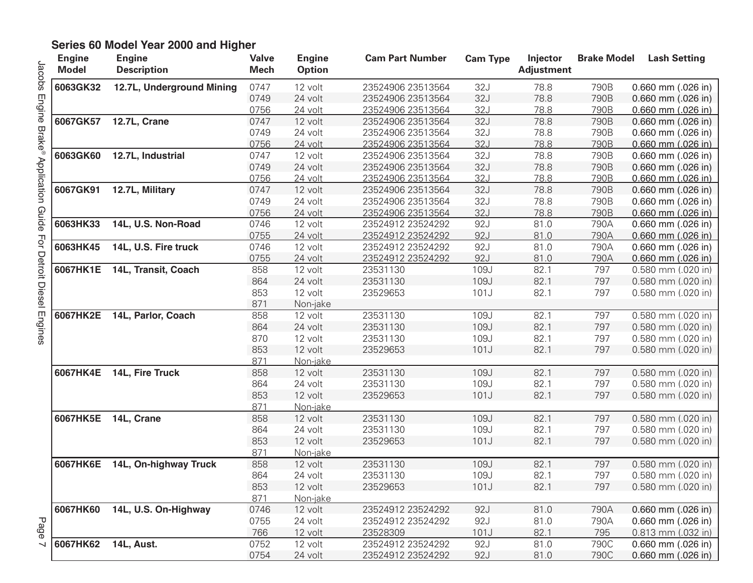| <b>Engine</b><br><b>Model</b> | <b>Engine</b><br><b>Description</b> | <b>Valve</b><br><b>Mech</b> | <b>Engine</b><br><b>Option</b> | <b>Cam Part Number</b> | <b>Cam Type</b> | Injector<br><b>Adjustment</b> | <b>Brake Model</b> | <b>Lash Setting</b>    |
|-------------------------------|-------------------------------------|-----------------------------|--------------------------------|------------------------|-----------------|-------------------------------|--------------------|------------------------|
| 6063GK32                      | 12.7L, Underground Mining           | 0747                        | 12 volt                        | 23524906 23513564      | 32J             | 78.8                          | 790B               | 0.660 mm (.026 in)     |
|                               |                                     | 0749                        | 24 volt                        | 23524906 23513564      | 32J             | 78.8                          | 790B               | 0.660 mm (.026 in)     |
|                               |                                     | 0756                        | 24 volt                        | 23524906 23513564      | 32J             | 78.8                          | 790B               | $0.660$ mm $(.026$ in) |
| 6067GK57                      | 12.7L, Crane                        | 0747                        | 12 volt                        | 23524906 23513564      | 32J             | 78.8                          | 790B               | 0.660 mm (.026 in)     |
|                               |                                     | 0749                        | 24 volt                        | 23524906 23513564      | 32J             | 78.8                          | 790B               | 0.660 mm (.026 in)     |
|                               |                                     | 0756                        | 24 volt                        | 23524906 23513564      | 32J             | 78.8                          | 790B               | 0.660 mm (.026 in)     |
| 6063GK60                      | 12.7L, Industrial                   | 0747                        | 12 volt                        | 23524906 23513564      | 32J             | 78.8                          | 790B               | 0.660 mm (.026 in)     |
|                               |                                     | 0749                        | 24 volt                        | 23524906 23513564      | 32J             | 78.8                          | 790B               | 0.660 mm (.026 in)     |
|                               |                                     | 0756                        | 24 volt                        | 23524906 23513564      | 32J             | 78.8                          | 790B               | 0.660 mm (.026 in)     |
| 6067GK91                      | 12.7L, Military                     | 0747                        | 12 volt                        | 23524906 23513564      | 32J             | 78.8                          | 790B               | 0.660 mm (.026 in)     |
|                               |                                     | 0749                        | 24 volt                        | 23524906 23513564      | 32J             | 78.8                          | 790B               | 0.660 mm (.026 in)     |
|                               |                                     | 0756                        | 24 volt                        | 23524906 23513564      | 32J             | 78.8                          | 790B               | 0.660 mm (.026 in)     |
| 6063HK33                      | 14L, U.S. Non-Road                  | 0746                        | 12 volt                        | 23524912 23524292      | 92J             | 81.0                          | 790A               | 0.660 mm (.026 in)     |
|                               |                                     | 0755                        | 24 volt                        | 23524912 23524292      | 92J             | 81.0                          | 790A               | 0.660 mm (.026 in)     |
| 6063HK45                      | 14L, U.S. Fire truck                | 0746                        | 12 volt                        | 23524912 23524292      | 92J             | 81.0                          | 790A               | 0.660 mm (.026 in)     |
|                               |                                     | 0755                        | 24 volt                        | 23524912 23524292      | 92J             | 81.0                          | 790A               | 0.660 mm (.026 in)     |
| 6067HK1E                      | 14L, Transit, Coach                 | 858                         | 12 volt                        | 23531130               | 109J            | 82.1                          | 797                | 0.580 mm (.020 in)     |
|                               |                                     | 864                         | 24 volt                        | 23531130               | 109J            | 82.1                          | 797                | 0.580 mm (.020 in)     |
|                               |                                     | 853                         | 12 volt                        | 23529653               | 101J            | 82.1                          | 797                | 0.580 mm (.020 in)     |
|                               |                                     | 871                         | Non-jake                       |                        |                 |                               |                    |                        |
| 6067HK2E                      | 14L, Parlor, Coach                  | 858                         | 12 volt                        | 23531130               | 109J            | 82.1                          | 797                | $0.580$ mm $(.020$ in) |
|                               |                                     | 864                         | 24 volt                        | 23531130               | 109J            | 82.1                          | 797                | 0.580 mm (.020 in)     |
|                               |                                     | 870                         | 12 volt                        | 23531130               | 109J            | 82.1                          | 797                | 0.580 mm (.020 in)     |
|                               |                                     | 853                         | 12 volt                        | 23529653               | 101J            | 82.1                          | 797                | 0.580 mm (.020 in)     |
|                               |                                     | 871                         | Non-jake                       |                        |                 |                               |                    |                        |
| 6067HK4E                      | 14L, Fire Truck                     | 858                         | 12 volt                        | 23531130               | 109J            | 82.1                          | 797                | 0.580 mm (.020 in)     |
|                               |                                     | 864                         | 24 volt                        | 23531130               | 109J            | 82.1                          | 797                | 0.580 mm (.020 in)     |
|                               |                                     | 853                         | 12 volt                        | 23529653               | 101J            | 82.1                          | 797                | 0.580 mm (.020 in)     |
|                               |                                     | 871                         | Non-jake                       |                        |                 |                               |                    |                        |
| 6067HK5E                      | 14L, Crane                          | 858                         | 12 volt                        | 23531130               | 109J            | 82.1                          | 797                | 0.580 mm (.020 in)     |
|                               |                                     | 864                         | 24 volt                        | 23531130               | 109J            | 82.1                          | 797                | 0.580 mm (.020 in)     |
|                               |                                     | 853                         | 12 volt                        | 23529653               | 101J            | 82.1                          | 797                | 0.580 mm (.020 in)     |
|                               |                                     | 871                         | Non-jake                       |                        |                 |                               |                    |                        |
| 6067HK6E                      | 14L, On-highway Truck               | 858                         | 12 volt                        | 23531130               | 109J            | 82.1                          | 797                | 0.580 mm (.020 in)     |
|                               |                                     | 864                         | 24 volt                        | 23531130               | 109J            | 82.1                          | 797                | $0.580$ mm (.020 in)   |
|                               |                                     | 853                         | 12 volt                        | 23529653               | 101J            | 82.1                          | 797                | 0.580 mm (.020 in)     |
|                               |                                     | 871                         | Non-jake                       |                        |                 |                               |                    |                        |
| 6067HK60                      | 14L, U.S. On-Highway                | 0746                        | 12 volt                        | 23524912 23524292      | 92J             | 81.0                          | 790A               | 0.660 mm (.026 in)     |
|                               |                                     | 0755                        | 24 volt                        | 23524912 23524292      | 92J             | 81.0                          | 790A               | 0.660 mm (.026 in)     |
|                               |                                     | 766                         | 12 volt                        | 23528309               | 101J            | 82.1                          | 795                | 0.813 mm (.032 in)     |
| 6067HK62                      | <b>14L, Aust.</b>                   | 0752                        | 12 volt                        | 23524912 23524292      | 92J             | 81.0                          | 790C               | 0.660 mm (.026 in)     |
|                               |                                     | 0754                        | 24 volt                        | 23524912 23524292      | 92J             | 81.0                          | 790C               | $0.660$ mm $(.026$ in) |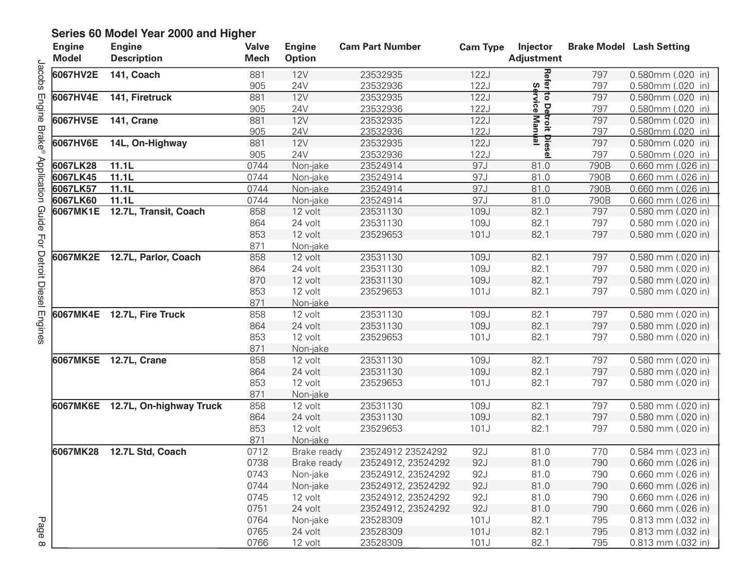| <b>Engine</b><br><b>Model</b> | <b>Engine</b><br><b>Description</b> | <b>Valve</b><br><b>Mech</b> | <b>Engine</b><br><b>Option</b> | <b>Cam Part Number</b> | <b>Cam Type</b> | Injector<br><b>Adjustment</b>    |      | <b>Brake Model Lash Setting</b> |
|-------------------------------|-------------------------------------|-----------------------------|--------------------------------|------------------------|-----------------|----------------------------------|------|---------------------------------|
| 6067HV2E                      | 141, Coach                          | 881                         | 12V                            | 23532935               | 122J            | Refer to Del<br> <br>  Service   | 797  | 0.580mm (.020 in)               |
|                               |                                     | 905                         | 24V                            | 23532936               | 122J            |                                  | 797  | 0.580mm (.020 in)               |
| 6067HV4E                      | 141, Firetruck                      | 881                         | 12V                            | 23532935               | <b>122J</b>     |                                  | 797  | 0.580mm (.020 in)               |
|                               |                                     | 905                         | 24V                            | 23532936               | 122J            | De<br>G                          | 797  | 0.580mm (.020 in)               |
| 6067HV5E                      | 141, Crane                          | 881                         | 12V                            | 23532935               | 122J            |                                  | 797  | 0.580mm (.020 in)               |
|                               |                                     | 905                         | 24V                            | 23532936               | 122J            | stroit Die<br>∫Manual<br>∘Manual | 797  | 0.580mm (.020 in)               |
| 6067HV6E                      | 14L, On-Highway                     | 881                         | <b>12V</b>                     | 23532935               | 122J            | Die                              | 797  | 0.580mm (.020 in)               |
|                               |                                     | 905                         | <b>24V</b>                     | 23532936               | 122J            | ข                                | 797  | 0.580mm (.020 in)               |
| 6067LK28                      | 11.1L                               | 0744                        | Non-jake                       | 23524914               | 97J             | 81.0                             | 790B | 0.660 mm (.026 in)              |
| 6067LK45                      | 11.1L                               | 0744                        | Non-jake                       | 23524914               | 97J             | 81.0                             | 790B | 0.660 mm (.026 in)              |
| 6067LK57                      | 11.1L                               | 0744                        | Non-jake                       | 23524914               | 97J             | 81.0                             | 790B | $0.660$ mm (.026 in)            |
| 6067LK60                      | 11.1L                               | 0744                        | Non-jake                       | 23524914               | 97J             | 81.0                             | 790B | 0.660 mm (.026 in)              |
| 6067MK1E                      | 12.7L, Transit, Coach               | 858                         | 12 volt                        | 23531130               | 109J            | 82.1                             | 797  | 0.580 mm (.020 in)              |
|                               |                                     | 864                         | 24 volt                        | 23531130               | 109J            | 82.1                             | 797  | 0.580 mm (.020 in)              |
|                               |                                     | 853                         | 12 volt                        | 23529653               | 101J            | 82.1                             | 797  | 0.580 mm (.020 in)              |
|                               |                                     | 871                         | Non-jake                       |                        |                 |                                  |      |                                 |
|                               | 6067MK2E 12.7L, Parlor, Coach       | 858                         | 12 volt                        | 23531130               | 109J            | 82.1                             | 797  | 0.580 mm (.020 in)              |
|                               |                                     | 864                         | 24 volt                        | 23531130               | 109J            | 82.1                             | 797  | 0.580 mm (.020 in)              |
|                               |                                     | 870                         | 12 volt                        | 23531130               | 109J            | 82.1                             | 797  | 0.580 mm (.020 in)              |
|                               |                                     | 853                         | 12 volt                        | 23529653               | 101J            | 82.1                             | 797  | 0.580 mm (.020 in)              |
|                               |                                     | 871                         | Non-jake                       |                        |                 |                                  |      |                                 |
|                               | 6067MK4E 12.7L, Fire Truck          | 858                         | 12 volt                        | 23531130               | 109J            | 82.1                             | 797  | 0.580 mm (.020 in)              |
|                               |                                     | 864                         | 24 volt                        | 23531130               | 109J            | 82.1                             | 797  | 0.580 mm (.020 in)              |
|                               |                                     | 853                         | 12 volt                        | 23529653               | 101J            | 82.1                             | 797  | 0.580 mm (.020 in)              |
|                               |                                     | 871                         | Non-jake                       |                        |                 |                                  |      |                                 |
|                               | 6067MK5E 12.7L, Crane               | 858                         | 12 volt                        | 23531130               | 109J            | 82.1                             | 797  | 0.580 mm (.020 in)              |
|                               |                                     | 864                         | 24 volt                        | 23531130               | 109J            | 82.1                             | 797  | 0.580 mm (.020 in)              |
|                               |                                     | 853                         | 12 volt                        | 23529653               | 101J            | 82.1                             | 797  | 0.580 mm (.020 in)              |
|                               |                                     | 871                         | Non-jake                       |                        |                 |                                  |      |                                 |
|                               | 6067MK6E 12.7L, On-highway Truck    | 858                         | 12 volt                        | 23531130               | 109J            | 82.1                             | 797  | 0.580 mm (.020 in)              |
|                               |                                     | 864                         | 24 volt                        | 23531130               | 109J            | 82.1                             | 797  | 0.580 mm (.020 in)              |
|                               |                                     | 853                         | 12 volt                        | 23529653               | 101J            | 82.1                             | 797  | 0.580 mm (.020 in)              |
|                               |                                     | 871                         | Non-jake                       |                        |                 |                                  |      |                                 |
| 6067MK28                      | 12.7L Std, Coach                    | 0712                        | Brake ready                    | 23524912 23524292      | 92J             | 81.0                             | 770  | 0.584 mm (.023 in)              |
|                               |                                     | 0738                        | Brake ready                    | 23524912, 23524292     | 92J             | 81.0                             | 790  | 0.660 mm (.026 in)              |
|                               |                                     | 0743                        | Non-jake                       | 23524912, 23524292     | 92J             | 81.0                             | 790  | 0.660 mm (.026 in)              |
|                               |                                     | 0744                        | Non-jake                       | 23524912, 23524292     | 92J             | 81.0                             | 790  | 0.660 mm (.026 in)              |
|                               |                                     | 0745                        | 12 volt                        | 23524912, 23524292     | 92J             | 81.0                             | 790  | 0.660 mm (.026 in)              |
|                               |                                     | 0751                        | 24 volt                        | 23524912, 23524292     | 92J             | 81.0                             | 790  | 0.660 mm (.026 in)              |
|                               |                                     | 0764                        | Non-jake                       | 23528309               | 101J            | 82.1                             | 795  | 0.813 mm (.032 in)              |
|                               |                                     | 0765                        | 24 volt                        | 23528309               | 101J            | 82.1                             | 795  | 0.813 mm (.032 in)              |
|                               |                                     | 0766                        | 12 volt                        | 23528309               | 101J            | 82.1                             | 795  | 0.813 mm (.032 in)              |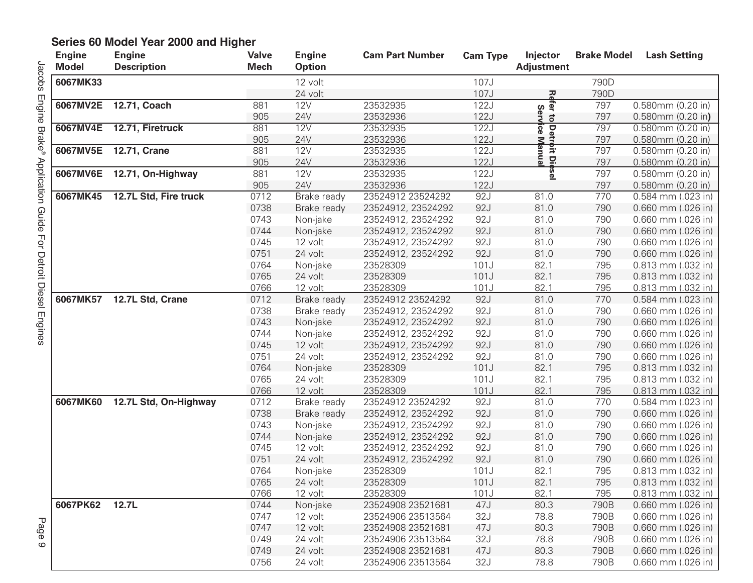| <b>Engine</b><br><b>Model</b> | <b>Engine</b><br><b>Description</b> | <b>Valve</b><br><b>Mech</b> | <b>Engine</b><br><b>Option</b> | <b>Cam Part Number</b> | <b>Cam Type</b> | Injector<br><b>Adjustment</b> | <b>Brake Model</b> | <b>Lash Setting</b>    |
|-------------------------------|-------------------------------------|-----------------------------|--------------------------------|------------------------|-----------------|-------------------------------|--------------------|------------------------|
| 6067MK33                      |                                     |                             | 12 volt                        |                        | 107J            |                               | 790D               |                        |
|                               |                                     |                             | 24 volt                        |                        | 107J            |                               | 790D               |                        |
| 6067MV2E                      | 12.71, Coach                        | 881                         | <b>12V</b>                     | 23532935               | 122J            | <b>Refer</b>                  | 797                | 0.580mm (0.20 in)      |
|                               |                                     | 905                         | 24V                            | 23532936               | 122J            | Serv<br>$\vec{c}$             | 797                | $0.580$ mm $(0.20$ in) |
| 6067MV4E                      | 12.71, Firetruck                    | 881                         | 12V                            | 23532935               | 122J            |                               | 797                | $0.580$ mm $(0.20$ in) |
|                               |                                     | 905                         | 24V                            | 23532936               | 122J            | ∣Detrḃit<br>∲ice Manı         | 797                | $0.580$ mm $(0.20$ in) |
| 6067MV5E                      | 12.71, Crane                        | 881                         | <b>12V</b>                     | 23532935               | 122J            |                               | 797                | $0.580$ mm $(0.20$ in) |
|                               |                                     | 905                         | 24V                            | 23532936               | 122J            | <u>ត្ត ច្ន</u>                | 797                | $0.580$ mm $(0.20$ in) |
| 6067MV6E                      | 12.71, On-Highway                   | 881                         | <b>12V</b>                     | 23532935               | 122J            | <b>bsel</b>                   | 797                | 0.580mm (0.20 in)      |
|                               |                                     | 905                         | 24V                            | 23532936               | 122J            |                               | 797                | 0.580mm (0.20 in)      |
| 6067MK45                      | 12.7L Std, Fire truck               | 0712                        | Brake ready                    | 23524912 23524292      | 92J             | 81.0                          | 770                | $0.584$ mm $(.023$ in) |
|                               |                                     | 0738                        | Brake ready                    | 23524912, 23524292     | 92J             | 81.0                          | 790                | $0.660$ mm $(.026$ in) |
|                               |                                     | 0743                        | Non-jake                       | 23524912, 23524292     | 92J             | 81.0                          | 790                | $0.660$ mm $(.026$ in) |
|                               |                                     | 0744                        | Non-jake                       | 23524912, 23524292     | 92J             | 81.0                          | 790                | 0.660 mm (.026 in)     |
|                               |                                     | 0745                        | 12 volt                        | 23524912, 23524292     | 92J             | 81.0                          | 790                | $0.660$ mm $(.026$ in) |
|                               |                                     | 0751                        | 24 volt                        | 23524912, 23524292     | 92J             | 81.0                          | 790                | 0.660 mm (.026 in)     |
|                               |                                     | 0764                        | Non-jake                       | 23528309               | 101J            | 82.1                          | 795                | $0.813$ mm $(.032$ in) |
|                               |                                     | 0765                        | 24 volt                        | 23528309               | 101J            | 82.1                          | 795                | $0.813$ mm $(.032$ in) |
|                               |                                     | 0766                        | 12 volt                        | 23528309               | 101J            | 82.1                          | 795                | 0.813 mm (.032 in)     |
| 6067MK57                      | 12.7L Std, Crane                    | 0712                        | Brake ready                    | 23524912 23524292      | 92J             | 81.0                          | 770                | 0.584 mm (.023 in)     |
|                               |                                     | 0738                        | Brake ready                    | 23524912, 23524292     | 92J             | 81.0                          | 790                | $0.660$ mm $(.026$ in) |
|                               |                                     | 0743                        | Non-jake                       | 23524912, 23524292     | 92J             | 81.0                          | 790                | 0.660 mm (.026 in)     |
|                               |                                     | 0744                        | Non-jake                       | 23524912, 23524292     | 92J             | 81.0                          | 790                | $0.660$ mm $(.026$ in) |
|                               |                                     | 0745                        | 12 volt                        | 23524912, 23524292     | 92J             | 81.0                          | 790                | 0.660 mm (.026 in)     |
|                               |                                     | 0751                        | 24 volt                        | 23524912, 23524292     | 92J             | 81.0                          | 790                | $0.660$ mm $(.026$ in) |
|                               |                                     | 0764                        | Non-jake                       | 23528309               | 101J            | 82.1                          | 795                | 0.813 mm (.032 in)     |
|                               |                                     | 0765                        | 24 volt                        | 23528309               | 101J            | 82.1                          | 795                | $0.813$ mm $(.032$ in) |
|                               |                                     | 0766                        | 12 volt                        | 23528309               | 101J            | 82.1                          | 795                | 0.813 mm (.032 in)     |
| 6067MK60                      | 12.7L Std, On-Highway               | 0712                        | Brake ready                    | 23524912 23524292      | 92J             | 81.0                          | 770                | $0.584$ mm $(.023$ in) |
|                               |                                     | 0738                        | Brake ready                    | 23524912, 23524292     | 92J             | 81.0                          | 790                | $0.660$ mm $(.026$ in) |
|                               |                                     | 0743                        | Non-jake                       | 23524912, 23524292     | 92J             | 81.0                          | 790                | $0.660$ mm $(.026$ in) |
|                               |                                     | 0744                        | Non-jake                       | 23524912, 23524292     | 92J             | 81.0                          | 790                | 0.660 mm (.026 in)     |
|                               |                                     | 0745                        | 12 volt                        | 23524912, 23524292     | 92J             | 81.0                          | 790                | $0.660$ mm $(.026$ in) |
|                               |                                     | 0751                        | 24 volt                        | 23524912, 23524292     | 92J             | 81.0                          | 790                | 0.660 mm (.026 in)     |
|                               |                                     | 0764                        | Non-jake                       | 23528309               | 101J            | 82.1                          | 795                | $0.813$ mm $(.032$ in) |
|                               |                                     | 0765                        | 24 volt                        | 23528309               | 101J            | 82.1                          | 795                | 0.813 mm (.032 in)     |
|                               |                                     | 0766                        | 12 volt                        | 23528309               | 101J            | 82.1                          | 795                | $0.813$ mm (.032 in)   |
| 6067PK62                      | 12.7L                               | 0744                        | Non-jake                       | 23524908 23521681      | 47J             | 80.3                          | 790B               | $0.660$ mm $(.026$ in) |
|                               |                                     | 0747                        | 12 volt                        | 23524906 23513564      | 32J             | 78.8                          | 790B               | $0.660$ mm $(.026$ in) |
|                               |                                     | 0747                        | 12 volt                        | 23524908 23521681      | 47J             | 80.3                          | 790B               | $0.660$ mm $(.026$ in) |
|                               |                                     | 0749                        | 24 volt                        | 23524906 23513564      | 32J             | 78.8                          | 790B               | $0.660$ mm $(.026$ in) |
|                               |                                     | 0749                        | 24 volt                        | 23524908 23521681      | 47J             | 80.3                          | 790B               | $0.660$ mm $(.026$ in) |
|                               |                                     | 0756                        | 24 volt                        | 23524906 23513564      | 32J             | 78.8                          | 790B               | 0.660 mm (.026 in)     |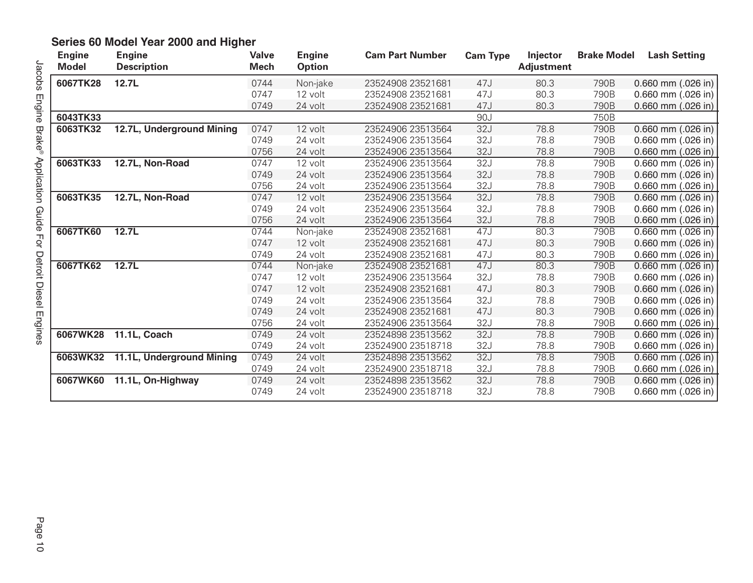| <b>Engine</b><br><b>Model</b> | <b>Engine</b><br><b>Description</b> | <b>Valve</b><br><b>Mech</b> | <b>Engine</b><br><b>Option</b> | <b>Cam Part Number</b> | <b>Cam Type</b> | Injector<br><b>Adjustment</b> | <b>Brake Model</b> | <b>Lash Setting</b>    |
|-------------------------------|-------------------------------------|-----------------------------|--------------------------------|------------------------|-----------------|-------------------------------|--------------------|------------------------|
| 6067TK28                      | 12.7L                               | 0744                        | Non-jake                       | 23524908 23521681      | 47J             | 80.3                          | 790B               | 0.660 mm $(.026$ in)   |
|                               |                                     | 0747                        | 12 volt                        | 23524908 23521681      | 47J             | 80.3                          | 790B               | $0.660$ mm (.026 in)   |
|                               |                                     | 0749                        | 24 volt                        | 23524908 23521681      | 47J             | 80.3                          | 790B               | 0.660 mm $(.026$ in)   |
| 6043TK33                      |                                     |                             |                                |                        | 90J             |                               | 750B               |                        |
| 6063TK32                      | 12.7L, Underground Mining           | 0747                        | 12 volt                        | 23524906 23513564      | 32J             | 78.8                          | 790B               | 0.660 mm $(.026$ in)   |
|                               |                                     | 0749                        | 24 volt                        | 23524906 23513564      | 32J             | 78.8                          | 790B               | $0.660$ mm (.026 in)   |
|                               |                                     | 0756                        | 24 volt                        | 23524906 23513564      | 32J             | 78.8                          | 790B               | $0.660$ mm $(.026$ in) |
| 6063TK33                      | 12.7L, Non-Road                     | 0747                        | 12 volt                        | 23524906 23513564      | 32J             | 78.8                          | 790B               | $0.660$ mm (.026 in)   |
|                               |                                     | 0749                        | 24 volt                        | 23524906 23513564      | 32J             | 78.8                          | 790B               | 0.660 mm $(.026$ in)   |
|                               |                                     | 0756                        | 24 volt                        | 23524906 23513564      | 32J             | 78.8                          | 790B               | $0.660$ mm (.026 in)   |
| 6063TK35                      | 12.7L, Non-Road                     | 0747                        | 12 volt                        | 23524906 23513564      | 32J             | 78.8                          | 790B               | $0.660$ mm (.026 in)   |
|                               |                                     | 0749                        | 24 volt                        | 23524906 23513564      | 32J             | 78.8                          | 790B               | 0.660 mm $(.026$ in)   |
|                               |                                     | 0756                        | 24 volt                        | 23524906 23513564      | 32J             | 78.8                          | 790B               | $0.660$ mm (.026 in)   |
| 6067TK60                      | 12.7L                               | 0744                        | Non-jake                       | 23524908 23521681      | 47J             | 80.3                          | 790B               | $0.660$ mm $(.026$ in) |
|                               |                                     | 0747                        | 12 volt                        | 23524908 23521681      | 47J             | 80.3                          | 790B               | $0.660$ mm $(.026$ in) |
|                               |                                     | 0749                        | 24 volt                        | 23524908 23521681      | 47J             | 80.3                          | 790B               | 0.660 mm (.026 in)     |
| 6067TK62                      | 12.7L                               | 0744                        | Non-jake                       | 23524908 23521681      | 47J             | 80.3                          | 790B               | $0.660$ mm $(.026$ in) |
|                               |                                     | 0747                        | 12 volt                        | 23524906 23513564      | 32J             | 78.8                          | 790B               | 0.660 mm $(.026$ in)   |
|                               |                                     | 0747                        | 12 volt                        | 23524908 23521681      | 47J             | 80.3                          | 790B               | 0.660 mm $(.026$ in)   |
|                               |                                     | 0749                        | 24 volt                        | 23524906 23513564      | 32J             | 78.8                          | 790B               | 0.660 mm (.026 in)     |
|                               |                                     | 0749                        | 24 volt                        | 23524908 23521681      | 47J             | 80.3                          | 790B               | $0.660$ mm (.026 in)   |
|                               |                                     | 0756                        | 24 volt                        | 23524906 23513564      | 32J             | 78.8                          | 790B               | 0.660 mm (.026 in)     |
| 6067WK28                      | 11.1L, Coach                        | 0749                        | 24 volt                        | 23524898 23513562      | 32J             | 78.8                          | 790B               | 0.660 mm $(.026$ in)   |
|                               |                                     | 0749                        | 24 volt                        | 23524900 23518718      | 32J             | 78.8                          | 790B               | $0.660$ mm $(.026$ in) |
|                               | 6063WK32 11.1L, Underground Mining  | 0749                        | 24 volt                        | 23524898 23513562      | 32J             | 78.8                          | 790B               | $0.660$ mm $(.026$ in) |
|                               |                                     | 0749                        | 24 volt                        | 23524900 23518718      | 32J             | 78.8                          | 790B               | 0.660 mm $(.026$ in)   |
| 6067WK60                      | 11.1L, On-Highway                   | 0749                        | 24 volt                        | 23524898 23513562      | 32J             | 78.8                          | 790B               | 0.660 mm (.026 in)     |
|                               |                                     | 0749                        | 24 volt                        | 23524900 23518718      | 32J             | 78.8                          | 790B               | $0.660$ mm $(.026$ in) |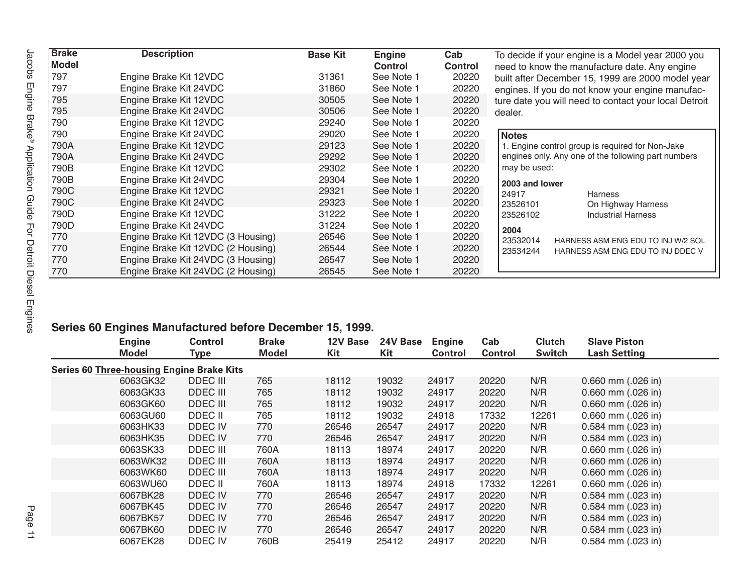| <b>Brake</b><br><b>Model</b> | <b>Description</b>                 | <b>Base Kit</b> | <b>Engine</b><br><b>Control</b> | Cab<br><b>Control</b> | To decide if your engine is a Model year 2000 you<br>need to know the manufacture date. Any engine |
|------------------------------|------------------------------------|-----------------|---------------------------------|-----------------------|----------------------------------------------------------------------------------------------------|
| 797                          | Engine Brake Kit 12VDC             | 31361           | See Note 1                      | 20220                 | built after December 15, 1999 are 2000 model year                                                  |
| 797                          | Engine Brake Kit 24VDC             | 31860           | See Note 1                      | 20220                 | engines. If you do not know your engine manufac-                                                   |
| 795                          | Engine Brake Kit 12VDC             | 30505           | See Note 1                      | 20220                 | ture date you will need to contact your local Detroit                                              |
| 795                          | Engine Brake Kit 24VDC             | 30506           | See Note 1                      | 20220                 | dealer.                                                                                            |
| 790                          | Engine Brake Kit 12VDC             | 29240           | See Note 1                      | 20220                 |                                                                                                    |
| 790                          | Engine Brake Kit 24VDC             | 29020           | See Note 1                      | 20220                 | <b>Notes</b>                                                                                       |
| 790A                         | Engine Brake Kit 12VDC             | 29123           | See Note 1                      | 20220                 | 1. Engine control group is required for Non-Jake                                                   |
| 790A                         | Engine Brake Kit 24VDC             | 29292           | See Note 1                      | 20220                 | engines only. Any one of the following part numbers                                                |
| 790B                         | Engine Brake Kit 12VDC             | 29302           | See Note 1                      | 20220                 | may be used:                                                                                       |
| 790B                         | Engine Brake Kit 24VDC             | 29304           | See Note 1                      | 20220                 | 2003 and lower                                                                                     |
| 790C                         | Engine Brake Kit 12VDC             | 29321           | See Note 1                      | 20220                 | 24917<br><b>Harness</b>                                                                            |
| 790C                         | Engine Brake Kit 24VDC             | 29323           | See Note 1                      | 20220                 | 23526101<br>On Highway Harness                                                                     |
| 790D                         | Engine Brake Kit 12VDC             | 31222           | See Note 1                      | 20220                 | <b>Industrial Harness</b><br>23526102                                                              |
| 790D                         | Engine Brake Kit 24VDC             | 31224           | See Note 1                      | 20220                 | 2004                                                                                               |
| 770                          | Engine Brake Kit 12VDC (3 Housing) | 26546           | See Note 1                      | 20220                 | 23532014<br>HARNESS ASM ENG EDU TO INJ W/2 SOL                                                     |
| 770                          | Engine Brake Kit 12VDC (2 Housing) | 26544           | See Note 1                      | 20220                 | 23534244<br>HARNESS ASM ENG EDU TO INJ DDEC V                                                      |
| 770                          | Engine Brake Kit 24VDC (3 Housing) | 26547           | See Note 1                      | 20220                 |                                                                                                    |
| 770                          | Engine Brake Kit 24VDC (2 Housing) | 26545           | See Note 1                      | 20220                 |                                                                                                    |

#### **Series 60 Engines Manufactured before December 15, 1999.**

| <b>Engine</b><br>Model                           | <b>Control</b><br><b>Type</b> | <b>Brake</b><br><b>Model</b> | 12V Base<br>Kit | 24V Base<br>Kit | <b>Engine</b><br><b>Control</b> | Cab<br><b>Control</b> | <b>Clutch</b><br><b>Switch</b> | <b>Slave Piston</b><br><b>Lash Setting</b> |
|--------------------------------------------------|-------------------------------|------------------------------|-----------------|-----------------|---------------------------------|-----------------------|--------------------------------|--------------------------------------------|
| <b>Series 60 Three-housing Engine Brake Kits</b> |                               |                              |                 |                 |                                 |                       |                                |                                            |
| 6063GK32                                         | <b>DDEC III</b>               | 765                          | 18112           | 19032           | 24917                           | 20220                 | N/R                            | $0.660$ mm $(.026$ in)                     |
| 6063GK33                                         | <b>DDEC III</b>               | 765                          | 18112           | 19032           | 24917                           | 20220                 | N/R                            | $0.660$ mm $(.026$ in)                     |
| 6063GK60                                         | <b>DDEC III</b>               | 765                          | 18112           | 19032           | 24917                           | 20220                 | N/R                            | $0.660$ mm $(.026$ in)                     |
| 6063GU60                                         | DDEC II                       | 765                          | 18112           | 19032           | 24918                           | 17332                 | 12261                          | 0.660 mm (.026 in)                         |
| 6063HK33                                         | DDEC IV                       | 770                          | 26546           | 26547           | 24917                           | 20220                 | N/R                            | $0.584$ mm $(.023$ in)                     |
| 6063HK35                                         | DDEC IV                       | 770                          | 26546           | 26547           | 24917                           | 20220                 | N/R                            | $0.584$ mm $(.023$ in)                     |
| 6063SK33                                         | DDEC III                      | 760A                         | 18113           | 18974           | 24917                           | 20220                 | N/R                            | $0.660$ mm $(.026$ in)                     |
| 6063WK32                                         | <b>DDEC III</b>               | 760A                         | 18113           | 18974           | 24917                           | 20220                 | N/R                            | $0.660$ mm $(.026$ in)                     |
| 6063WK60                                         | <b>DDEC III</b>               | 760A                         | 18113           | 18974           | 24917                           | 20220                 | N/R                            | $0.660$ mm $(.026$ in)                     |
| 6063WU60                                         | DDEC II                       | 760A                         | 18113           | 18974           | 24918                           | 17332                 | 12261                          | $0.660$ mm $(.026$ in)                     |
| 6067BK28                                         | DDEC IV                       | 770                          | 26546           | 26547           | 24917                           | 20220                 | N/R                            | $0.584$ mm $(.023$ in)                     |
| 6067BK45                                         | DDEC IV                       | 770                          | 26546           | 26547           | 24917                           | 20220                 | N/R                            | $0.584$ mm $(.023$ in)                     |
| 6067BK57                                         | DDEC IV                       | 770                          | 26546           | 26547           | 24917                           | 20220                 | N/R                            | $0.584$ mm $(.023$ in)                     |
| 6067BK60                                         | DDEC IV                       | 770                          | 26546           | 26547           | 24917                           | 20220                 | N/R                            | 0.584 mm (.023 in)                         |
| 6067EK28                                         | DDEC IV                       | 760B                         | 25419           | 25412           | 24917                           | 20220                 | N/R                            | $0.584$ mm $(.023$ in)                     |
|                                                  |                               |                              |                 |                 |                                 |                       |                                |                                            |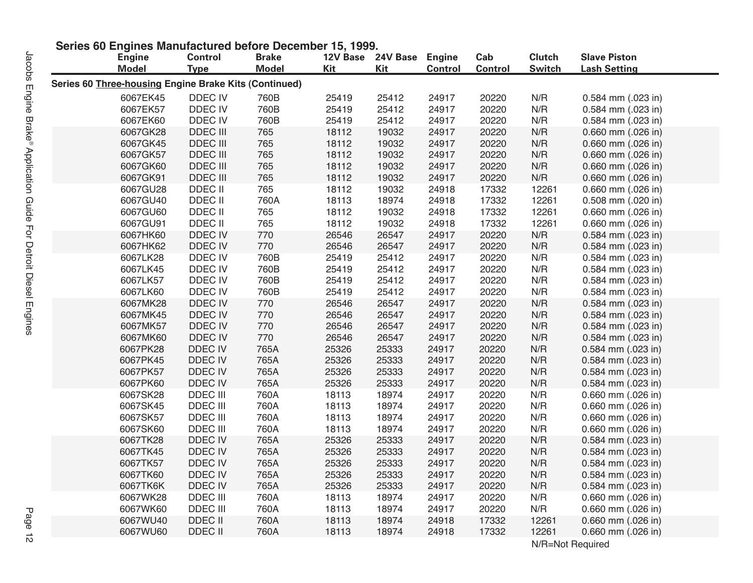| <b>Engine</b>                                         | <b>Control</b>     | Series ou Engines Manufactured Defore December 15, 1999.<br><b>Brake</b> | 12V Base       | 24V Base Engine |                | Cab            | <b>Clutch</b>  | <b>Slave Piston</b> |
|-------------------------------------------------------|--------------------|--------------------------------------------------------------------------|----------------|-----------------|----------------|----------------|----------------|---------------------|
| <b>Model</b>                                          | <b>Type</b>        | <b>Model</b>                                                             | Kit            | Kit             | <b>Control</b> | <b>Control</b> | <b>Switch</b>  | <b>Lash Setting</b> |
| Series 60 Three-housing Engine Brake Kits (Continued) |                    |                                                                          |                |                 |                |                |                |                     |
| 6067EK45                                              | DDEC IV            | 760B                                                                     | 25419          | 25412           | 24917          | 20220          | N/R            | 0.584 mm (.023 in)  |
| 6067EK57                                              | DDEC IV            | 760B                                                                     | 25419          | 25412           | 24917          | 20220          | N/R            | 0.584 mm (.023 in)  |
| 6067EK60                                              | DDEC IV            | 760B                                                                     | 25419          | 25412           | 24917          | 20220          | N/R            | 0.584 mm (.023 in)  |
| 6067GK28                                              | DDEC III           | 765                                                                      | 18112          | 19032           | 24917          | 20220          | N/R            | 0.660 mm (.026 in)  |
| 6067GK45                                              | <b>DDEC III</b>    | 765                                                                      | 18112          | 19032           | 24917          | 20220          | N/R            | 0.660 mm (.026 in)  |
| 6067GK57                                              | DDEC III           | 765                                                                      | 18112          | 19032           | 24917          | 20220          | N/R            | 0.660 mm (.026 in)  |
| 6067GK60                                              | DDEC III           | 765                                                                      | 18112          | 19032           | 24917          | 20220          | N/R            | 0.660 mm (.026 in)  |
| 6067GK91                                              | DDEC III           | 765                                                                      | 18112          | 19032           | 24917          | 20220          | N/R            | 0.660 mm (.026 in)  |
| 6067GU28                                              | DDEC II            | 765                                                                      | 18112          | 19032           | 24918          | 17332          | 12261          | 0.660 mm (.026 in)  |
| 6067GU40                                              | DDEC II            | 760A                                                                     | 18113          | 18974           | 24918          | 17332          | 12261          | 0.508 mm (.020 in)  |
| 6067GU60                                              | DDEC II            | 765                                                                      | 18112          | 19032           | 24918          | 17332          | 12261          | 0.660 mm (.026 in)  |
| 6067GU91                                              | DDEC II            | 765                                                                      | 18112          | 19032           | 24918          | 17332          | 12261          | 0.660 mm (.026 in)  |
| 6067HK60                                              | <b>DDEC IV</b>     | 770                                                                      | 26546          | 26547           | 24917          | 20220          | N/R            | 0.584 mm (.023 in)  |
| 6067HK62                                              | DDEC IV            | 770                                                                      | 26546          | 26547           | 24917          | 20220          | N/R            | 0.584 mm (.023 in)  |
| 6067LK28                                              | DDEC IV            | 760B                                                                     | 25419          | 25412           | 24917          | 20220          | N/R            | 0.584 mm (.023 in)  |
| 6067LK45                                              | DDEC IV            | 760B                                                                     | 25419          | 25412           | 24917          | 20220          | N/R            | 0.584 mm (.023 in)  |
| 6067LK57                                              | DDEC IV            | 760B                                                                     | 25419          | 25412           | 24917          | 20220          | N/R            | 0.584 mm (.023 in)  |
| 6067LK60                                              | DDEC IV            | 760B                                                                     | 25419          | 25412           | 24917          | 20220          | N/R            | 0.584 mm (.023 in)  |
| 6067MK28                                              | DDEC IV            | 770                                                                      | 26546          | 26547           | 24917          | 20220          | N/R            | 0.584 mm (.023 in)  |
| 6067MK45                                              | DDEC IV            | 770                                                                      | 26546          | 26547           | 24917          | 20220          | N/R            | 0.584 mm (.023 in)  |
| 6067MK57                                              | DDEC IV            | 770                                                                      | 26546          | 26547           | 24917          | 20220          | N/R            | 0.584 mm (.023 in)  |
| 6067MK60                                              | DDEC IV            | 770                                                                      | 26546          | 26547           | 24917          | 20220          | N/R            | 0.584 mm (.023 in)  |
| 6067PK28                                              | DDEC IV            | 765A                                                                     | 25326          | 25333           | 24917          | 20220          | N/R            | 0.584 mm (.023 in)  |
| 6067PK45                                              | DDEC IV            | 765A                                                                     | 25326          | 25333           | 24917          | 20220          | N/R            | 0.584 mm (.023 in)  |
| 6067PK57                                              | DDEC IV            | 765A                                                                     | 25326          | 25333           | 24917          | 20220          | N/R            | 0.584 mm (.023 in)  |
| 6067PK60                                              | DDEC IV            | 765A                                                                     | 25326          | 25333           | 24917          | 20220          | N/R            | 0.584 mm (.023 in)  |
| 6067SK28                                              | DDEC III           | 760A                                                                     | 18113          | 18974           | 24917          | 20220          | N/R            | 0.660 mm (.026 in)  |
| 6067SK45                                              | DDEC III           | 760A                                                                     | 18113          | 18974           | 24917          | 20220          | N/R            | 0.660 mm (.026 in)  |
| 6067SK57                                              | DDEC III           | 760A                                                                     | 18113          | 18974           | 24917          | 20220          | $\textsf{N/R}$ | 0.660 mm (.026 in)  |
| 6067SK60                                              | DDEC III           | 760A                                                                     | 18113          | 18974           | 24917          | 20220          | N/R            | 0.660 mm (.026 in)  |
| 6067TK28                                              | DDEC IV            | 765A                                                                     | 25326          | 25333           | 24917          | 20220          | N/R            | 0.584 mm (.023 in)  |
| 6067TK45                                              | DDEC IV            | 765A                                                                     | 25326          | 25333           | 24917          | 20220          | N/R            | 0.584 mm (.023 in)  |
| 6067TK57                                              | DDEC IV            | 765A                                                                     | 25326          | 25333           | 24917          | 20220          | N/R            | 0.584 mm (.023 in)  |
| 6067TK60                                              | DDEC IV            | 765A                                                                     | 25326          | 25333           | 24917          | 20220          | N/R            | 0.584 mm (.023 in)  |
| 6067TK6K                                              | DDEC IV            | 765A                                                                     | 25326          | 25333           | 24917          | 20220          | N/R            | 0.584 mm (.023 in)  |
| 6067WK28                                              | DDEC III           | 760A                                                                     | 18113          | 18974           | 24917          | 20220          | N/R            | 0.660 mm (.026 in)  |
| 6067WK60                                              | <b>DDEC III</b>    | 760A                                                                     | 18113          | 18974           | 24917          | 20220          | N/R            | 0.660 mm (.026 in)  |
| 6067WU40<br>6067WU60                                  | DDEC II<br>DDEC II | 760A<br>760A                                                             | 18113<br>18113 | 18974<br>18974  | 24918<br>24918 | 17332<br>17332 | 12261<br>12261 | 0.660 mm (.026 in)  |
|                                                       |                    |                                                                          |                |                 |                |                |                | 0.660 mm (.026 in)  |

#### **Series 60 Engines Manufactured before December 15, 1999.**

N/R=Not Required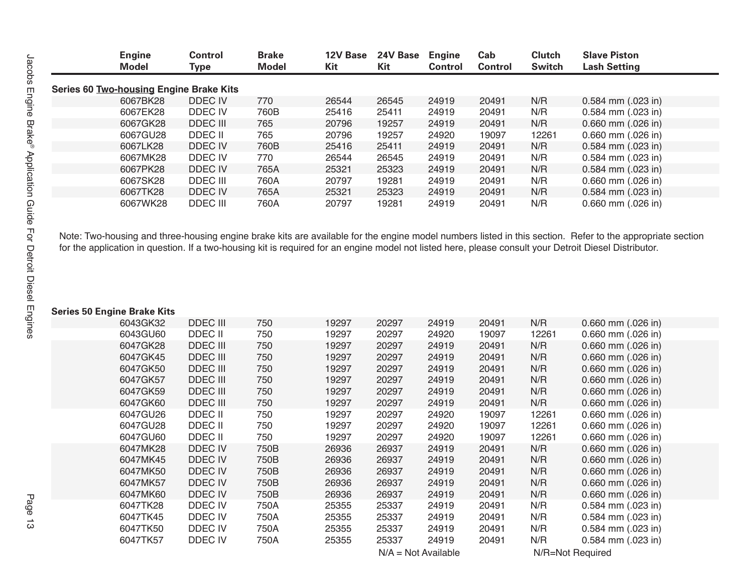| <b>Engine</b><br><b>Model</b>           | <b>Control</b><br>Type | <b>Brake</b><br><b>Model</b> | 12V Base<br>Kit | 24V Base<br>Kit | <b>Engine</b><br><b>Control</b> | Cab<br><b>Control</b> | <b>Clutch</b><br><b>Switch</b> | <b>Slave Piston</b><br><b>Lash Setting</b> |
|-----------------------------------------|------------------------|------------------------------|-----------------|-----------------|---------------------------------|-----------------------|--------------------------------|--------------------------------------------|
| Series 60 Two-housing Engine Brake Kits |                        |                              |                 |                 |                                 |                       |                                |                                            |
| 6067BK28                                | DDEC IV                | 770                          | 26544           | 26545           | 24919                           | 20491                 | N/R                            | $0.584$ mm $(.023$ in)                     |
| 6067EK28                                | DDEC IV                | 760B                         | 25416           | 25411           | 24919                           | 20491                 | N/R                            | $0.584$ mm $(.023$ in)                     |
| 6067GK28                                | DDEC III               | 765                          | 20796           | 19257           | 24919                           | 20491                 | N/R                            | $0.660$ mm $(.026$ in)                     |
| 6067GU28                                | DDEC II                | 765                          | 20796           | 19257           | 24920                           | 19097                 | 12261                          | $0.660$ mm $(.026$ in)                     |
| 6067LK28                                | DDEC IV                | 760B                         | 25416           | 25411           | 24919                           | 20491                 | N/R                            | $0.584$ mm $(.023$ in)                     |
| 6067MK28                                | DDEC IV                | 770                          | 26544           | 26545           | 24919                           | 20491                 | N/R                            | $0.584$ mm $(.023$ in)                     |
| 6067PK28                                | DDEC IV                | 765A                         | 25321           | 25323           | 24919                           | 20491                 | N/R                            | $0.584$ mm $(.023$ in)                     |
| 6067SK28                                | DDEC III               | 760A                         | 20797           | 19281           | 24919                           | 20491                 | N/R                            | $0.660$ mm $(.026$ in)                     |
| 6067TK28                                | DDEC IV                | 765A                         | 25321           | 25323           | 24919                           | 20491                 | N/R                            | $0.584$ mm $(.023$ in)                     |
| 6067WK28                                | DDEC III               | 760A                         | 20797           | 19281           | 24919                           | 20491                 | N/R                            | $0.660$ mm $(.026$ in)                     |

Note: Two-housing and three-housing engine brake kits are available for the engine model numbers listed in this section. Refer to the appropriate section for the application in question. If a two-housing kit is required for an engine model not listed here, please consult your Detroit Diesel Distributor.

#### **Series 50 Engine Brake Kits**

| 6043GK32 | <b>DDEC III</b> | 750  | 19297 | 20297                 | 24919 | 20491 | N/R              | 0.660 mm (.026 in)     |
|----------|-----------------|------|-------|-----------------------|-------|-------|------------------|------------------------|
| 6043GU60 | DDEC II         | 750  | 19297 | 20297                 | 24920 | 19097 | 12261            | $0.660$ mm $(.026$ in) |
| 6047GK28 | <b>DDEC III</b> | 750  | 19297 | 20297                 | 24919 | 20491 | N/R              | 0.660 mm (.026 in)     |
| 6047GK45 | <b>DDEC III</b> | 750  | 19297 | 20297                 | 24919 | 20491 | N/R              | 0.660 mm (.026 in)     |
| 6047GK50 | <b>DDEC III</b> | 750  | 19297 | 20297                 | 24919 | 20491 | N/R              | 0.660 mm (.026 in)     |
| 6047GK57 | DDEC III        | 750  | 19297 | 20297                 | 24919 | 20491 | N/R              | 0.660 mm (.026 in)     |
| 6047GK59 | <b>DDEC III</b> | 750  | 19297 | 20297                 | 24919 | 20491 | N/R              | 0.660 mm (.026 in)     |
| 6047GK60 | DDEC III        | 750  | 19297 | 20297                 | 24919 | 20491 | N/R              | 0.660 mm (.026 in)     |
| 6047GU26 | DDEC II         | 750  | 19297 | 20297                 | 24920 | 19097 | 12261            | 0.660 mm (.026 in)     |
| 6047GU28 | DDEC II         | 750  | 19297 | 20297                 | 24920 | 19097 | 12261            | 0.660 mm (.026 in)     |
| 6047GU60 | DDEC II         | 750  | 19297 | 20297                 | 24920 | 19097 | 12261            | 0.660 mm (.026 in)     |
| 6047MK28 | DDEC IV         | 750B | 26936 | 26937                 | 24919 | 20491 | N/R              | $0.660$ mm $(.026$ in) |
| 6047MK45 | DDEC IV         | 750B | 26936 | 26937                 | 24919 | 20491 | N/R              | $0.660$ mm $(.026$ in) |
| 6047MK50 | DDEC IV         | 750B | 26936 | 26937                 | 24919 | 20491 | N/R              | $0.660$ mm $(.026$ in) |
| 6047MK57 | DDEC IV         | 750B | 26936 | 26937                 | 24919 | 20491 | N/R              | 0.660 mm (.026 in)     |
| 6047MK60 | DDEC IV         | 750B | 26936 | 26937                 | 24919 | 20491 | N/R              | $0.660$ mm $(.026$ in) |
| 6047TK28 | DDEC IV         | 750A | 25355 | 25337                 | 24919 | 20491 | N/R              | $0.584$ mm $(.023$ in) |
| 6047TK45 | DDEC IV         | 750A | 25355 | 25337                 | 24919 | 20491 | N/R              | $0.584$ mm $(.023$ in) |
| 6047TK50 | DDEC IV         | 750A | 25355 | 25337                 | 24919 | 20491 | N/R              | 0.584 mm (.023 in)     |
| 6047TK57 | DDEC IV         | 750A | 25355 | 25337                 | 24919 | 20491 | N/R              | $0.584$ mm $(.023$ in) |
|          |                 |      |       | $N/A = Not Available$ |       |       | N/R=Not Required |                        |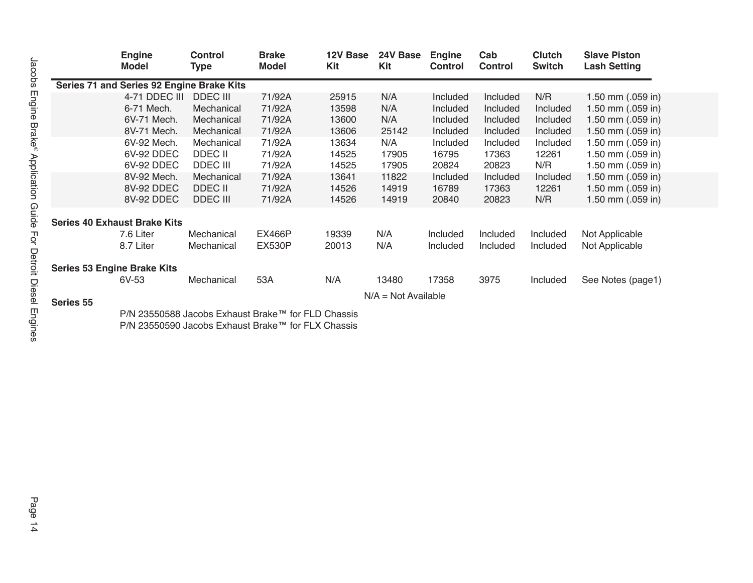|           | <b>Engine</b><br><b>Model</b>             | <b>Control</b><br><b>Type</b> | <b>Brake</b><br><b>Model</b> | 12V Base<br>Kit | 24V Base<br>Kit       | <b>Engine</b><br><b>Control</b> | Cab<br><b>Control</b> | <b>Clutch</b><br><b>Switch</b> | <b>Slave Piston</b><br><b>Lash Setting</b> |
|-----------|-------------------------------------------|-------------------------------|------------------------------|-----------------|-----------------------|---------------------------------|-----------------------|--------------------------------|--------------------------------------------|
|           | Series 71 and Series 92 Engine Brake Kits |                               |                              |                 |                       |                                 |                       |                                |                                            |
|           | 4-71 DDEC III                             | <b>DDEC III</b>               | 71/92A                       | 25915           | N/A                   | Included                        | Included              | N/R                            | 1.50 mm $(.059$ in)                        |
|           | 6-71 Mech.                                | Mechanical                    | 71/92A                       | 13598           | N/A                   | Included                        | Included              | Included                       | 1.50 mm $(.059$ in)                        |
|           | 6V-71 Mech.                               | Mechanical                    | 71/92A                       | 13600           | N/A                   | Included                        | Included              | Included                       | 1.50 mm (.059 in)                          |
|           | 8V-71 Mech.                               | Mechanical                    | 71/92A                       | 13606           | 25142                 | Included                        | Included              | Included                       | 1.50 mm (.059 in)                          |
|           | 6V-92 Mech.                               | Mechanical                    | 71/92A                       | 13634           | N/A                   | Included                        | Included              | Included                       | 1.50 mm (.059 in)                          |
|           | 6V-92 DDEC                                | DDEC II                       | 71/92A                       | 14525           | 17905                 | 16795                           | 17363                 | 12261                          | 1.50 mm (.059 in)                          |
|           | 6V-92 DDEC                                | <b>DDEC III</b>               | 71/92A                       | 14525           | 17905                 | 20824                           | 20823                 | N/R                            | 1.50 mm (.059 in)                          |
|           | 8V-92 Mech.                               | Mechanical                    | 71/92A                       | 13641           | 11822                 | Included                        | Included              | Included                       | 1.50 mm (.059 in)                          |
|           | 8V-92 DDEC                                | DDEC II                       | 71/92A                       | 14526           | 14919                 | 16789                           | 17363                 | 12261                          | 1.50 mm (.059 in)                          |
|           | 8V-92 DDEC                                | <b>DDEC III</b>               | 71/92A                       | 14526           | 14919                 | 20840                           | 20823                 | N/R                            | 1.50 mm $(.059$ in)                        |
|           |                                           |                               |                              |                 |                       |                                 |                       |                                |                                            |
|           | <b>Series 40 Exhaust Brake Kits</b>       |                               |                              |                 |                       |                                 |                       |                                |                                            |
|           | 7.6 Liter                                 | Mechanical                    | <b>EX466P</b>                | 19339           | N/A                   | Included                        | Included              | Included                       | Not Applicable                             |
|           | 8.7 Liter                                 | Mechanical                    | <b>EX530P</b>                | 20013           | N/A                   | Included                        | Included              | Included                       | Not Applicable                             |
|           | <b>Series 53 Engine Brake Kits</b>        |                               |                              |                 |                       |                                 |                       |                                |                                            |
|           | 6V-53                                     | Mechanical                    | 53A                          | N/A             | 13480                 | 17358                           | 3975                  | Included                       | See Notes (page1)                          |
|           |                                           |                               |                              |                 | $N/A = Not Available$ |                                 |                       |                                |                                            |
| Series 55 |                                           |                               |                              |                 |                       |                                 |                       |                                |                                            |

P/N 23550588 Jacobs Exhaust Brake™ for FLD Chassis P/N 23550590 Jacobs Exhaust Brake™ for FLX Chassis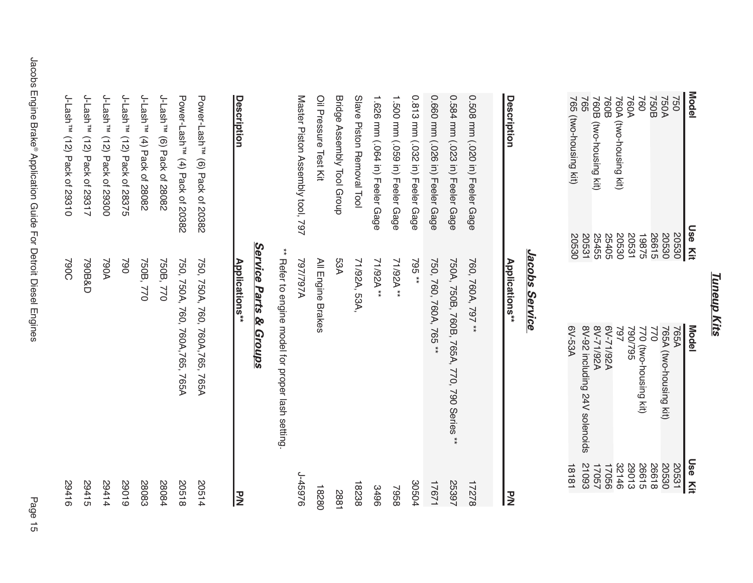### **Tuneup Kits** *Tuneup Kits*

| Model                                              | <b>Use Ki</b>                                | Model                         | <b>Use Kit</b>                                    |
|----------------------------------------------------|----------------------------------------------|-------------------------------|---------------------------------------------------|
| 750<br>750A<br>760<br>760A<br>760B<br>760B<br>760B | 20530                                        | 765A                          | 20531                                             |
|                                                    | 20530                                        | 765A (two-housing kit)        | 20530                                             |
|                                                    |                                              | 022                           |                                                   |
|                                                    |                                              | 770 (two-housing kit)         |                                                   |
|                                                    |                                              | <b>S6Z/06Z</b>                |                                                   |
|                                                    |                                              | 797                           |                                                   |
|                                                    |                                              | A29/1738                      |                                                   |
| 760B (<br>two-housing kit                          |                                              | 8V-71/92A                     | 2020<br>2021 1705<br>1706<br>2109<br>2109<br>2109 |
| 765                                                | 26615<br>19875<br>20531405<br>20531<br>20530 | 8V-92 including 24V solenoids |                                                   |
| 765 (two-housing kit)                              |                                              | 6V-53A                        | 18181                                             |
|                                                    |                                              |                               |                                                   |

### Jacobs Service *Jacobs Service*

| マミ     | Applications**                                    | Description                      |
|--------|---------------------------------------------------|----------------------------------|
|        | Service Parts & Groups                            |                                  |
|        | ** Refer to engine model for proper lash setting. |                                  |
| 926976 | <b>A7671797</b>                                   | Master Piston Assembly tool, 797 |
| 18280  | All Engine Brakes                                 | Oil Pressure Test Kit            |
| 1887   | 53A                                               | Bridge Assembly Tool Group       |
| 18238  | 71/92A, 53A,                                      | Slave Piston Removal Tool        |
| 9678   | ** AS9117                                         | 1.626 mm (.064 in) Feeler Gage   |
| 7958   | ** AS9117                                         | 1.500 mm (.059 in) Feeler Gage   |
| 30504  | 795**                                             | 0.813 mm (.032 in) Feeler Gage   |
| 17671  | 750, 760, 760A, 765 **                            | 0.660 mm (.026 in) Feeler Gage   |
| 25397  | 750A, 750B, 760B, 765A, 770, 790 Series **        | 0.584 mm (.023 in) Feeler Gage   |
| 17278  | 760, 760A, 797 **                                 | 0.508 mm (.020 in) Feeler Gage   |
|        |                                                   |                                  |
| 고<br>2 | Applications**                                    | Description                      |

| Power-Lash <sup>TM</sup> (6) Pack of 20382 | 750, 750A, 760, 760A, 765, 765A | 20514 |
|--------------------------------------------|---------------------------------|-------|
| Power-Lash <sup>TM</sup> (4) Pack of 20382 | 750, 750A, 760, 760A, 765, 765A | 81902 |
| J-Lash <sup>™</sup> (6) Pack of 28082      | 750B, 770                       | 58084 |
| J-Lash <sup>™</sup> (4) Pack of 28082      | 750B, 770                       | 28083 |
| J-Lash <sup>™</sup> (12) Pack of 28375     | 062                             | 61062 |
| J-Lash <sup>™</sup> (12) Pack of 29300     | <b>A067</b>                     | 29414 |
| J-Lash <sup>™</sup> (12) Pack of 29317     | 790B&D                          | 29415 |
| J-Lash <sup>™</sup> (12) Pack of 29310     | 2900                            | 91762 |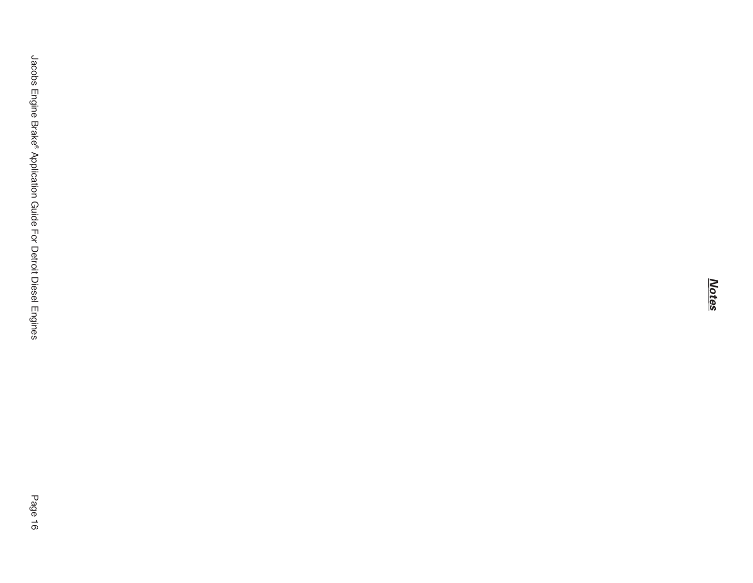*Notes*